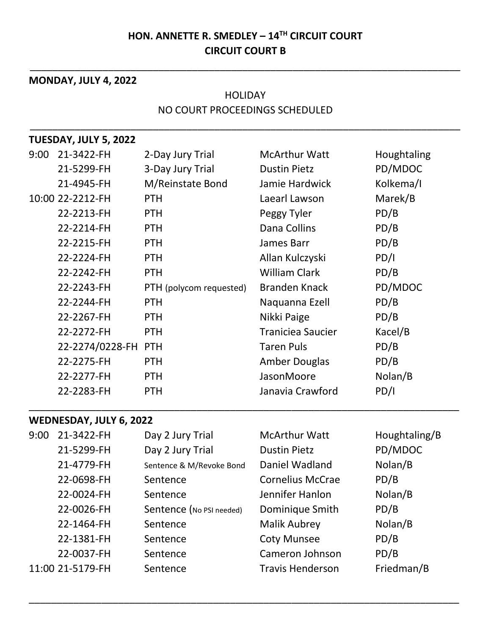### **HON. ANNETTE R. SMEDLEY – 14TH CIRCUIT COURT CIRCUIT COURT B**

\_\_\_\_\_\_\_\_\_\_\_\_\_\_\_\_\_\_\_\_\_\_\_\_\_\_\_\_\_\_\_\_\_\_\_\_\_\_\_\_\_\_\_\_\_\_\_\_\_\_\_\_\_\_\_\_\_\_\_\_\_\_\_\_\_\_\_\_\_\_\_\_\_\_\_\_\_

# **MONDAY, JULY 4, 2022** HOLIDAY NO COURT PROCEEDINGS SCHEDULED \_\_\_\_\_\_\_\_\_\_\_\_\_\_\_\_\_\_\_\_\_\_\_\_\_\_\_\_\_\_\_\_\_\_\_\_\_\_\_\_\_\_\_\_\_\_\_\_\_\_\_\_\_\_\_\_\_\_\_\_\_\_\_\_\_\_\_\_\_\_\_\_\_\_\_\_\_ **TUESDAY, JULY 5, 2022** 9:00 21-3422-FH 2-Day Jury Trial McArthur Watt Houghtaling 21-5299-FH 3-Day Jury Trial Dustin Pietz PD/MDOC 21-4945-FH M/Reinstate Bond Jamie Hardwick Kolkema/I 10:00 22-2212-FH PTH Laearl Lawson Marek/B 22-2213-FH PTH Peggy Tyler PD/B 22-2214-FH PTH Dana Collins PD/B 22-2215-FH PTH James Barr PD/B 22-2224-FH PTH Allan Kulczyski PD/I 22-2242-FH PTH William Clark PD/B 22-2243-FH PTH (polycom requested) Branden Knack PD/MDOC 22-2244-FH PTH Naquanna Ezell PD/B 22-2267-FH PTH Nikki Paige PD/B 22-2272-FH PTH Traniciea Saucier Kacel/B 22-2274/0228-FH PTH Taren Puls PD/B 22-2275-FH PTH Amber Douglas PD/B 22-2277-FH PTH JasonMoore Nolan/B 22-2283-FH PTH Janavia Crawford PD/I

#### **WEDNESDAY, JULY 6, 2022**

| 9:00 | 21-3422-FH       | Day 2 Jury Trial         | <b>McArthur Watt</b>    | Houghtaling/B |
|------|------------------|--------------------------|-------------------------|---------------|
|      | 21-5299-FH       | Day 2 Jury Trial         | <b>Dustin Pietz</b>     | PD/MDOC       |
|      | 21-4779-FH       | Sentence & M/Revoke Bond | Daniel Wadland          | Nolan/B       |
|      | 22-0698-FH       | Sentence                 | <b>Cornelius McCrae</b> | PD/B          |
|      | 22-0024-FH       | Sentence                 | Jennifer Hanlon         | Nolan/B       |
|      | 22-0026-FH       | Sentence (No PSI needed) | Dominique Smith         | PD/B          |
|      | 22-1464-FH       | Sentence                 | <b>Malik Aubrey</b>     | Nolan/B       |
|      | 22-1381-FH       | Sentence                 | <b>Coty Munsee</b>      | PD/B          |
|      | 22-0037-FH       | Sentence                 | Cameron Johnson         | PD/B          |
|      | 11:00 21-5179-FH | Sentence                 | <b>Travis Henderson</b> | Friedman/B    |

\_\_\_\_\_\_\_\_\_\_\_\_\_\_\_\_\_\_\_\_\_\_\_\_\_\_\_\_\_\_\_\_\_\_\_\_\_\_\_\_\_\_\_\_\_\_\_\_\_\_\_\_\_\_\_\_\_\_\_\_\_\_\_\_\_\_\_\_\_\_\_\_\_\_\_\_\_

\_\_\_\_\_\_\_\_\_\_\_\_\_\_\_\_\_\_\_\_\_\_\_\_\_\_\_\_\_\_\_\_\_\_\_\_\_\_\_\_\_\_\_\_\_\_\_\_\_\_\_\_\_\_\_\_\_\_\_\_\_\_\_\_\_\_\_\_\_\_\_\_\_\_\_\_\_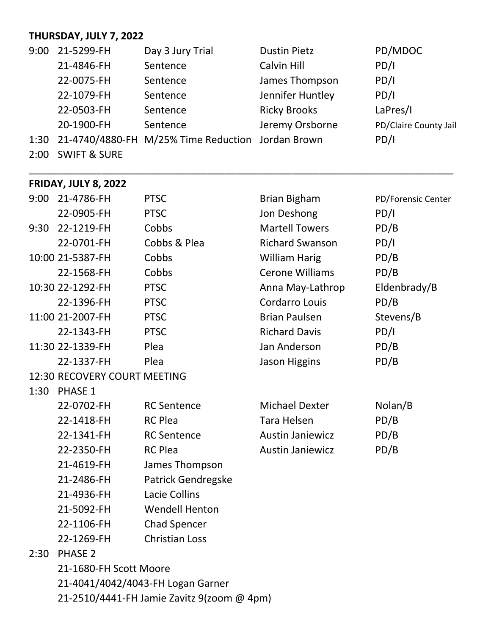## **THURSDAY, JULY 7, 2022**

| 9:00 | 21-5299-FH | Day 3 Jury Trial                                       | <b>Dustin Pietz</b> | PD/MDOC               |
|------|------------|--------------------------------------------------------|---------------------|-----------------------|
|      | 21-4846-FH | Sentence                                               | Calvin Hill         | PD/I                  |
|      | 22-0075-FH | Sentence                                               | James Thompson      | PD/I                  |
|      | 22-1079-FH | Sentence                                               | Jennifer Huntley    | PD/I                  |
|      | 22-0503-FH | Sentence                                               | <b>Ricky Brooks</b> | LaPres/I              |
|      | 20-1900-FH | Sentence                                               | Jeremy Orsborne     | PD/Claire County Jail |
|      |            | 1:30 21-4740/4880-FH M/25% Time Reduction Jordan Brown |                     | PD/I                  |

\_\_\_\_\_\_\_\_\_\_\_\_\_\_\_\_\_\_\_\_\_\_\_\_\_\_\_\_\_\_\_\_\_\_\_\_\_\_\_\_\_\_\_\_\_\_\_\_\_\_\_\_\_\_\_\_\_\_\_\_\_\_\_\_\_\_\_\_\_\_\_\_\_\_\_\_

2:00 SWIFT & SURE

### **FRIDAY, JULY 8, 2022**

| 9:00 | 21-4786-FH                                 | <b>PTSC</b>               | <b>Brian Bigham</b>     | PD/Forensic Center |  |  |  |
|------|--------------------------------------------|---------------------------|-------------------------|--------------------|--|--|--|
|      | 22-0905-FH                                 | <b>PTSC</b>               | Jon Deshong             | PD/I               |  |  |  |
| 9:30 | 22-1219-FH                                 | Cobbs                     | <b>Martell Towers</b>   | PD/B               |  |  |  |
|      | 22-0701-FH                                 | Cobbs & Plea              | <b>Richard Swanson</b>  | PD/I               |  |  |  |
|      | 10:00 21-5387-FH                           | Cobbs                     | <b>William Harig</b>    | PD/B               |  |  |  |
|      | 22-1568-FH                                 | Cobbs                     | <b>Cerone Williams</b>  | PD/B               |  |  |  |
|      | 10:30 22-1292-FH                           | <b>PTSC</b>               | Anna May-Lathrop        | Eldenbrady/B       |  |  |  |
|      | 22-1396-FH                                 | <b>PTSC</b>               | Cordarro Louis          | PD/B               |  |  |  |
|      | 11:00 21-2007-FH                           | <b>PTSC</b>               | <b>Brian Paulsen</b>    | Stevens/B          |  |  |  |
|      | 22-1343-FH                                 | <b>PTSC</b>               | <b>Richard Davis</b>    | PD/I               |  |  |  |
|      | 11:30 22-1339-FH                           | Plea                      | Jan Anderson            | PD/B               |  |  |  |
|      | 22-1337-FH                                 | Plea                      | <b>Jason Higgins</b>    | PD/B               |  |  |  |
|      | 12:30 RECOVERY COURT MEETING               |                           |                         |                    |  |  |  |
| 1:30 | <b>PHASE 1</b>                             |                           |                         |                    |  |  |  |
|      | 22-0702-FH                                 | <b>RC</b> Sentence        | <b>Michael Dexter</b>   | Nolan/B            |  |  |  |
|      | 22-1418-FH                                 | <b>RC Plea</b>            | <b>Tara Helsen</b>      | PD/B               |  |  |  |
|      | 22-1341-FH                                 | <b>RC</b> Sentence        | <b>Austin Janiewicz</b> | PD/B               |  |  |  |
|      | 22-2350-FH                                 | <b>RC Plea</b>            | <b>Austin Janiewicz</b> | PD/B               |  |  |  |
|      | 21-4619-FH                                 | James Thompson            |                         |                    |  |  |  |
|      | 21-2486-FH                                 | <b>Patrick Gendregske</b> |                         |                    |  |  |  |
|      | 21-4936-FH                                 | <b>Lacie Collins</b>      |                         |                    |  |  |  |
|      | 21-5092-FH                                 | <b>Wendell Henton</b>     |                         |                    |  |  |  |
|      | 22-1106-FH                                 | <b>Chad Spencer</b>       |                         |                    |  |  |  |
|      | 22-1269-FH                                 | <b>Christian Loss</b>     |                         |                    |  |  |  |
| 2:30 | <b>PHASE 2</b>                             |                           |                         |                    |  |  |  |
|      | 21-1680-FH Scott Moore                     |                           |                         |                    |  |  |  |
|      | 21-4041/4042/4043-FH Logan Garner          |                           |                         |                    |  |  |  |
|      | 21-2510/4441-FH Jamie Zavitz 9(zoom @ 4pm) |                           |                         |                    |  |  |  |
|      |                                            |                           |                         |                    |  |  |  |